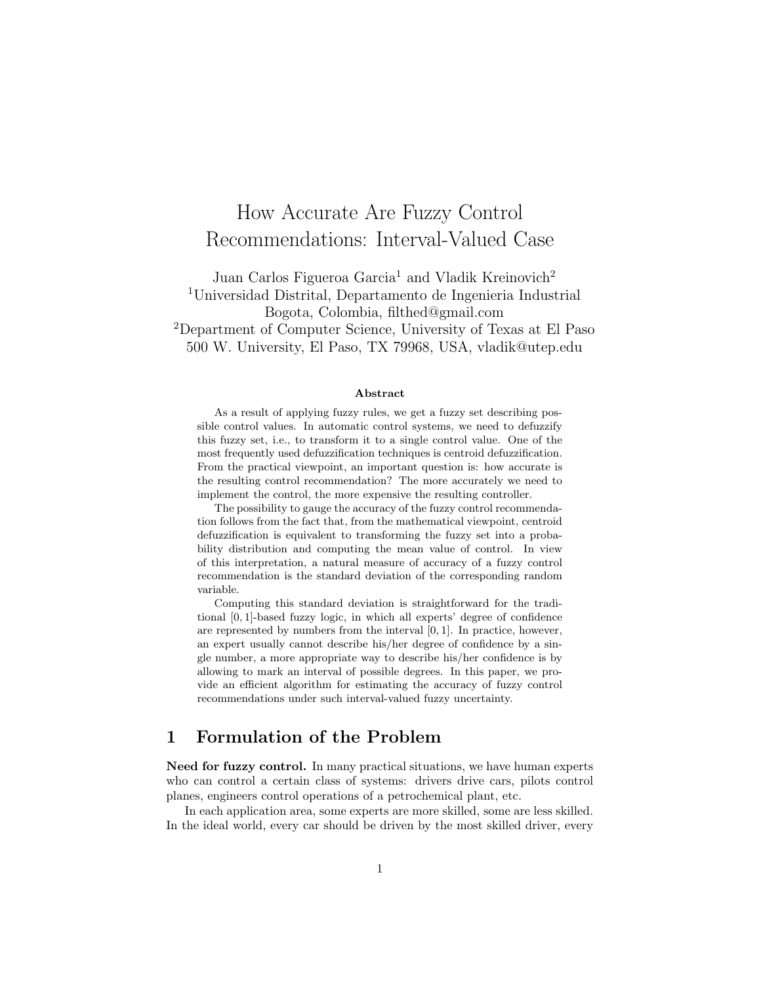# How Accurate Are Fuzzy Control Recommendations: Interval-Valued Case

Juan Carlos Figueroa Garcia<sup>1</sup> and Vladik Kreinovich<sup>2</sup> <sup>1</sup>Universidad Distrital, Departamento de Ingenieria Industrial Bogota, Colombia, filthed@gmail.com <sup>2</sup>Department of Computer Science, University of Texas at El Paso 500 W. University, El Paso, TX 79968, USA, vladik@utep.edu

#### Abstract

As a result of applying fuzzy rules, we get a fuzzy set describing possible control values. In automatic control systems, we need to defuzzify this fuzzy set, i.e., to transform it to a single control value. One of the most frequently used defuzzification techniques is centroid defuzzification. From the practical viewpoint, an important question is: how accurate is the resulting control recommendation? The more accurately we need to implement the control, the more expensive the resulting controller.

The possibility to gauge the accuracy of the fuzzy control recommendation follows from the fact that, from the mathematical viewpoint, centroid defuzzification is equivalent to transforming the fuzzy set into a probability distribution and computing the mean value of control. In view of this interpretation, a natural measure of accuracy of a fuzzy control recommendation is the standard deviation of the corresponding random variable.

Computing this standard deviation is straightforward for the traditional [0, 1]-based fuzzy logic, in which all experts' degree of confidence are represented by numbers from the interval [0, 1]. In practice, however, an expert usually cannot describe his/her degree of confidence by a single number, a more appropriate way to describe his/her confidence is by allowing to mark an interval of possible degrees. In this paper, we provide an efficient algorithm for estimating the accuracy of fuzzy control recommendations under such interval-valued fuzzy uncertainty.

### 1 Formulation of the Problem

Need for fuzzy control. In many practical situations, we have human experts who can control a certain class of systems: drivers drive cars, pilots control planes, engineers control operations of a petrochemical plant, etc.

In each application area, some experts are more skilled, some are less skilled. In the ideal world, every car should be driven by the most skilled driver, every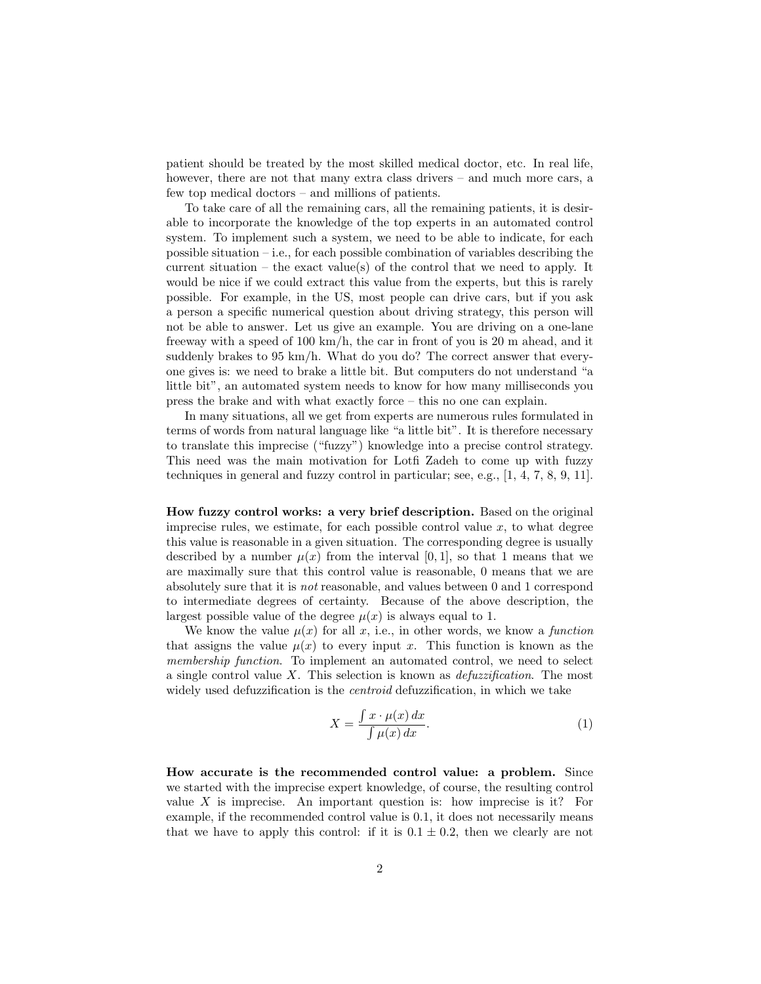patient should be treated by the most skilled medical doctor, etc. In real life, however, there are not that many extra class drivers – and much more cars, a few top medical doctors – and millions of patients.

To take care of all the remaining cars, all the remaining patients, it is desirable to incorporate the knowledge of the top experts in an automated control system. To implement such a system, we need to be able to indicate, for each possible situation – i.e., for each possible combination of variables describing the current situation – the exact value(s) of the control that we need to apply. It would be nice if we could extract this value from the experts, but this is rarely possible. For example, in the US, most people can drive cars, but if you ask a person a specific numerical question about driving strategy, this person will not be able to answer. Let us give an example. You are driving on a one-lane freeway with a speed of 100 km/h, the car in front of you is 20 m ahead, and it suddenly brakes to 95 km/h. What do you do? The correct answer that everyone gives is: we need to brake a little bit. But computers do not understand "a little bit", an automated system needs to know for how many milliseconds you press the brake and with what exactly force – this no one can explain.

In many situations, all we get from experts are numerous rules formulated in terms of words from natural language like "a little bit". It is therefore necessary to translate this imprecise ("fuzzy") knowledge into a precise control strategy. This need was the main motivation for Lotfi Zadeh to come up with fuzzy techniques in general and fuzzy control in particular; see, e.g., [1, 4, 7, 8, 9, 11].

How fuzzy control works: a very brief description. Based on the original imprecise rules, we estimate, for each possible control value  $x$ , to what degree this value is reasonable in a given situation. The corresponding degree is usually described by a number  $\mu(x)$  from the interval [0, 1], so that 1 means that we are maximally sure that this control value is reasonable, 0 means that we are absolutely sure that it is not reasonable, and values between 0 and 1 correspond to intermediate degrees of certainty. Because of the above description, the largest possible value of the degree  $\mu(x)$  is always equal to 1.

We know the value  $\mu(x)$  for all x, i.e., in other words, we know a function that assigns the value  $\mu(x)$  to every input x. This function is known as the membership function. To implement an automated control, we need to select a single control value  $X$ . This selection is known as *defuzzification*. The most widely used defuzzification is the *centroid* defuzzification, in which we take

$$
X = \frac{\int x \cdot \mu(x) dx}{\int \mu(x) dx}.
$$
 (1)

How accurate is the recommended control value: a problem. Since we started with the imprecise expert knowledge, of course, the resulting control value  $X$  is imprecise. An important question is: how imprecise is it? For example, if the recommended control value is 0.1, it does not necessarily means that we have to apply this control: if it is  $0.1 \pm 0.2$ , then we clearly are not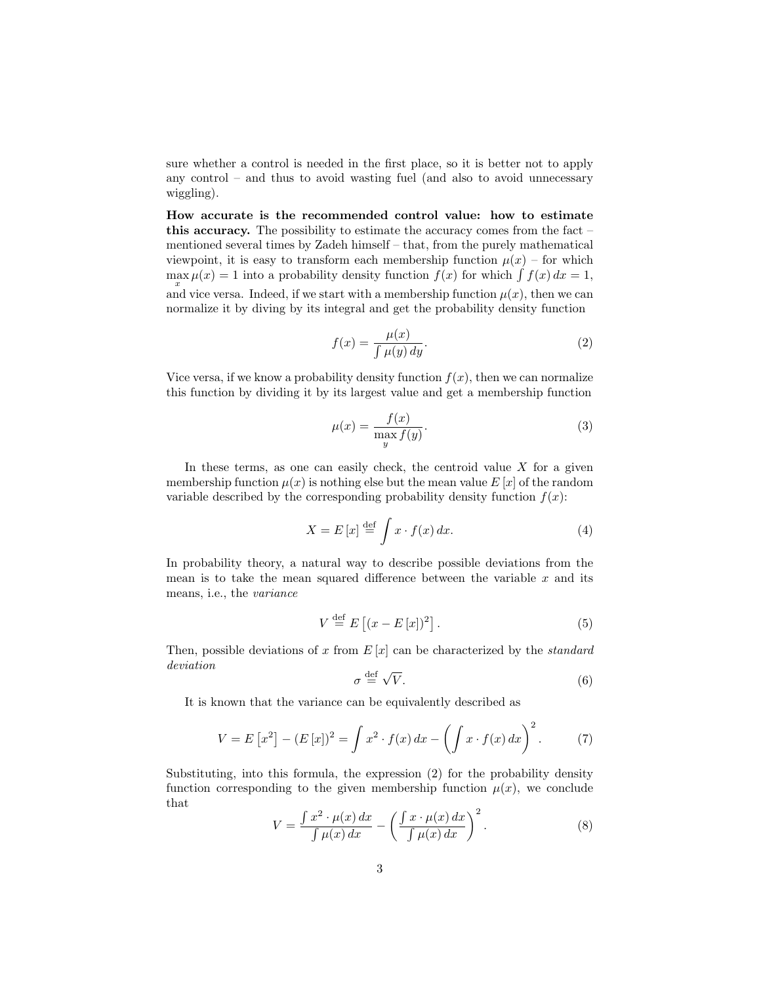sure whether a control is needed in the first place, so it is better not to apply any control – and thus to avoid wasting fuel (and also to avoid unnecessary wiggling).

How accurate is the recommended control value: how to estimate this accuracy. The possibility to estimate the accuracy comes from the fact – mentioned several times by Zadeh himself – that, from the purely mathematical viewpoint, it is easy to transform each membership function  $\mu(x)$  – for which  $\max \mu(x) = 1$  into a probability density function  $f(x)$  for which  $\int f(x) dx = 1$ , and vice versa. Indeed, if we start with a membership function  $\mu(x)$ , then we can normalize it by diving by its integral and get the probability density function

$$
f(x) = \frac{\mu(x)}{\int \mu(y) \, dy}.\tag{2}
$$

Vice versa, if we know a probability density function  $f(x)$ , then we can normalize this function by dividing it by its largest value and get a membership function

$$
\mu(x) = \frac{f(x)}{\max_{y} f(y)}.
$$
\n(3)

In these terms, as one can easily check, the centroid value  $X$  for a given membership function  $\mu(x)$  is nothing else but the mean value E [x] of the random variable described by the corresponding probability density function  $f(x)$ :

$$
X = E[x] \stackrel{\text{def}}{=} \int x \cdot f(x) \, dx. \tag{4}
$$

In probability theory, a natural way to describe possible deviations from the mean is to take the mean squared difference between the variable  $x$  and its means, i.e., the variance

$$
V \stackrel{\text{def}}{=} E\left[ (x - E\left[ x \right])^2 \right]. \tag{5}
$$

Then, possible deviations of x from  $E[x]$  can be characterized by the *standard* deviation √

$$
\sigma \stackrel{\text{def}}{=} \sqrt{V}.\tag{6}
$$

It is known that the variance can be equivalently described as

$$
V = E[x^{2}] - (E[x])^{2} = \int x^{2} \cdot f(x) dx - \left(\int x \cdot f(x) dx\right)^{2}.
$$
 (7)

Substituting, into this formula, the expression (2) for the probability density function corresponding to the given membership function  $\mu(x)$ , we conclude that

$$
V = \frac{\int x^2 \cdot \mu(x) dx}{\int \mu(x) dx} - \left( \frac{\int x \cdot \mu(x) dx}{\int \mu(x) dx} \right)^2.
$$
 (8)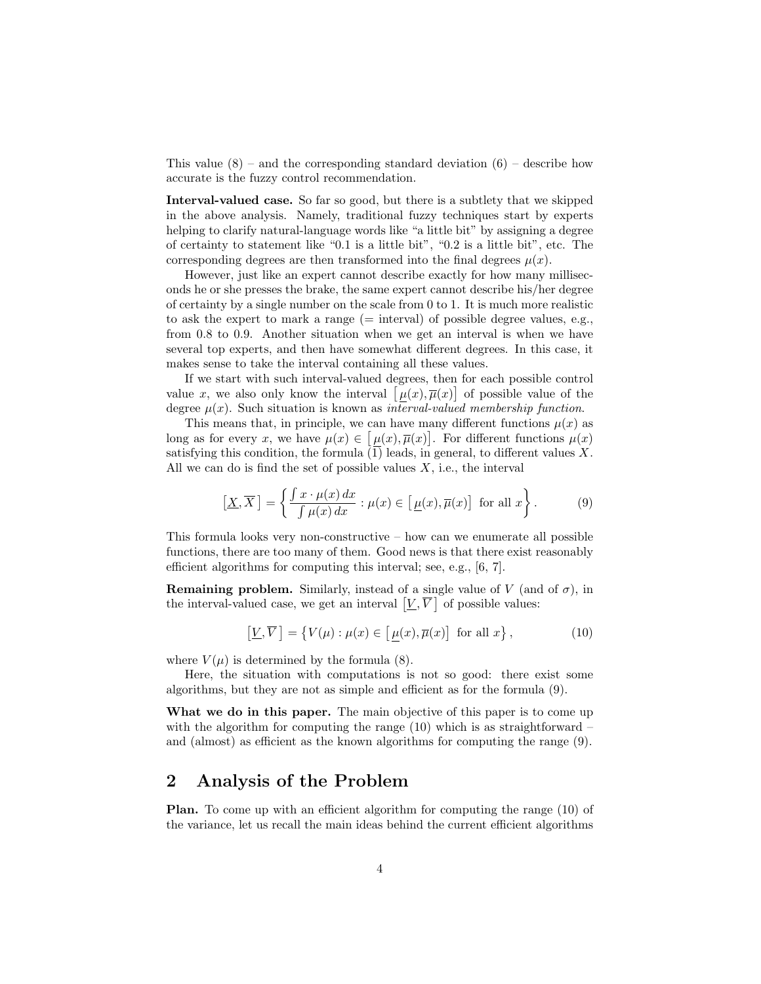This value  $(8)$  – and the corresponding standard deviation  $(6)$  – describe how accurate is the fuzzy control recommendation.

Interval-valued case. So far so good, but there is a subtlety that we skipped in the above analysis. Namely, traditional fuzzy techniques start by experts helping to clarify natural-language words like "a little bit" by assigning a degree of certainty to statement like "0.1 is a little bit", "0.2 is a little bit", etc. The corresponding degrees are then transformed into the final degrees  $\mu(x)$ .

However, just like an expert cannot describe exactly for how many milliseconds he or she presses the brake, the same expert cannot describe his/her degree of certainty by a single number on the scale from 0 to 1. It is much more realistic to ask the expert to mark a range  $(=$  interval) of possible degree values, e.g., from 0.8 to 0.9. Another situation when we get an interval is when we have several top experts, and then have somewhat different degrees. In this case, it makes sense to take the interval containing all these values.

If we start with such interval-valued degrees, then for each possible control value x, we also only know the interval  $[\mu(x), \overline{\mu}(x)]$  of possible value of the degree  $\mu(x)$ . Such situation is known as *interval-valued membership function*.

This means that, in principle, we can have many different functions  $\mu(x)$  as long as for every x, we have  $\mu(x) \in [\mu(x), \overline{\mu}(x)]$ . For different functions  $\mu(x)$ satisfying this condition, the formula  $(1)$  leads, in general, to different values X. All we can do is find the set of possible values  $X$ , i.e., the interval

$$
\left[\underline{X}, \overline{X}\right] = \left\{\frac{\int x \cdot \mu(x) \, dx}{\int \mu(x) \, dx} : \mu(x) \in \left[\underline{\mu}(x), \overline{\mu}(x)\right] \text{ for all } x\right\}.
$$
 (9)

This formula looks very non-constructive – how can we enumerate all possible functions, there are too many of them. Good news is that there exist reasonably efficient algorithms for computing this interval; see, e.g., [6, 7].

**Remaining problem.** Similarly, instead of a single value of V (and of  $\sigma$ ), in the interval-valued case, we get an interval  $[V, \overline{V}]$  of possible values:

$$
\left[\underline{V}, \overline{V}\right] = \left\{V(\mu) : \mu(x) \in \left[\underline{\mu}(x), \overline{\mu}(x)\right] \text{ for all } x\right\},\tag{10}
$$

where  $V(\mu)$  is determined by the formula (8).

Here, the situation with computations is not so good: there exist some algorithms, but they are not as simple and efficient as for the formula (9).

What we do in this paper. The main objective of this paper is to come up with the algorithm for computing the range  $(10)$  which is as straightforward – and (almost) as efficient as the known algorithms for computing the range (9).

#### 2 Analysis of the Problem

Plan. To come up with an efficient algorithm for computing the range (10) of the variance, let us recall the main ideas behind the current efficient algorithms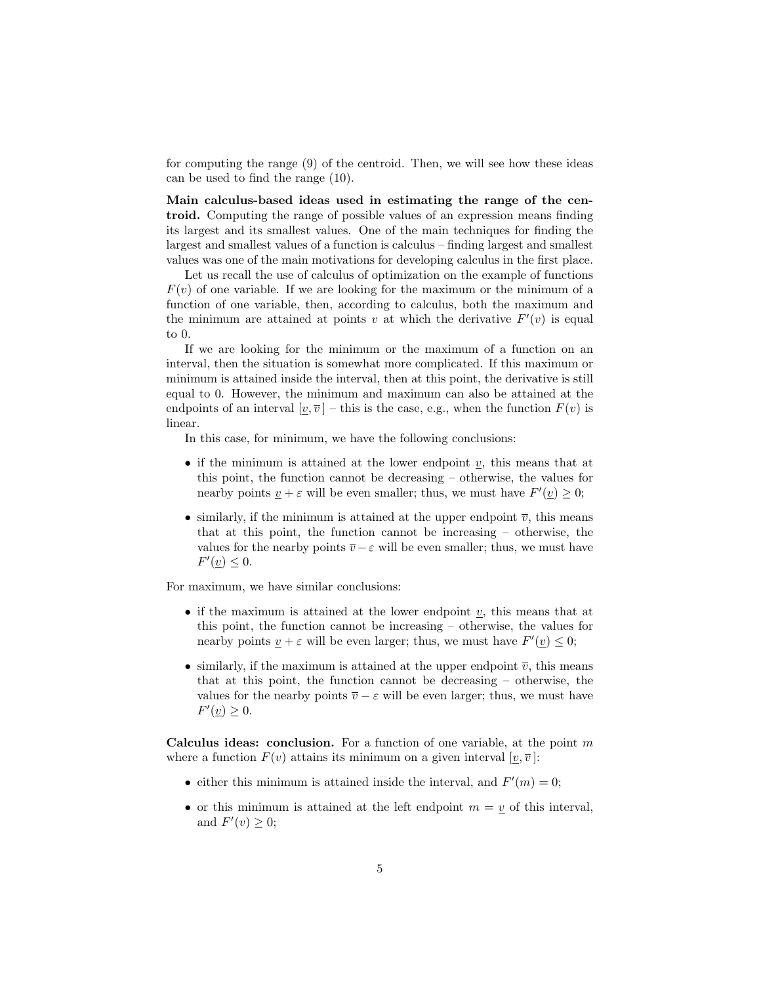for computing the range (9) of the centroid. Then, we will see how these ideas can be used to find the range (10).

Main calculus-based ideas used in estimating the range of the centroid. Computing the range of possible values of an expression means finding its largest and its smallest values. One of the main techniques for finding the largest and smallest values of a function is calculus – finding largest and smallest values was one of the main motivations for developing calculus in the first place.

Let us recall the use of calculus of optimization on the example of functions  $F(v)$  of one variable. If we are looking for the maximum or the minimum of a function of one variable, then, according to calculus, both the maximum and the minimum are attained at points v at which the derivative  $F'(v)$  is equal to 0.

If we are looking for the minimum or the maximum of a function on an interval, then the situation is somewhat more complicated. If this maximum or minimum is attained inside the interval, then at this point, the derivative is still equal to 0. However, the minimum and maximum can also be attained at the endpoints of an interval  $[\underline{v}, \overline{v}]$  – this is the case, e.g., when the function  $F(v)$  is linear.

In this case, for minimum, we have the following conclusions:

- if the minimum is attained at the lower endpoint  $v$ , this means that at this point, the function cannot be decreasing – otherwise, the values for nearby points  $\underline{v} + \varepsilon$  will be even smaller; thus, we must have  $F'(\underline{v}) \geq 0$ ;
- similarly, if the minimum is attained at the upper endpoint  $\overline{v}$ , this means that at this point, the function cannot be increasing – otherwise, the values for the nearby points  $\overline{v} - \varepsilon$  will be even smaller; thus, we must have  $F'(\underline{v}) \leq 0.$

For maximum, we have similar conclusions:

- if the maximum is attained at the lower endpoint  $\underline{v}$ , this means that at this point, the function cannot be increasing – otherwise, the values for nearby points  $\underline{v} + \varepsilon$  will be even larger; thus, we must have  $F'(\underline{v}) \leq 0$ ;
- similarly, if the maximum is attained at the upper endpoint  $\overline{v}$ , this means that at this point, the function cannot be decreasing – otherwise, the values for the nearby points  $\overline{v} - \varepsilon$  will be even larger; thus, we must have  $F'(\underline{v}) \geq 0.$

Calculus ideas: conclusion. For a function of one variable, at the point  $m$ where a function  $F(v)$  attains its minimum on a given interval  $[v, \overline{v}]$ :

- either this minimum is attained inside the interval, and  $F'(m) = 0$ ;
- or this minimum is attained at the left endpoint  $m = v$  of this interval, and  $F'(v) \geq 0$ ;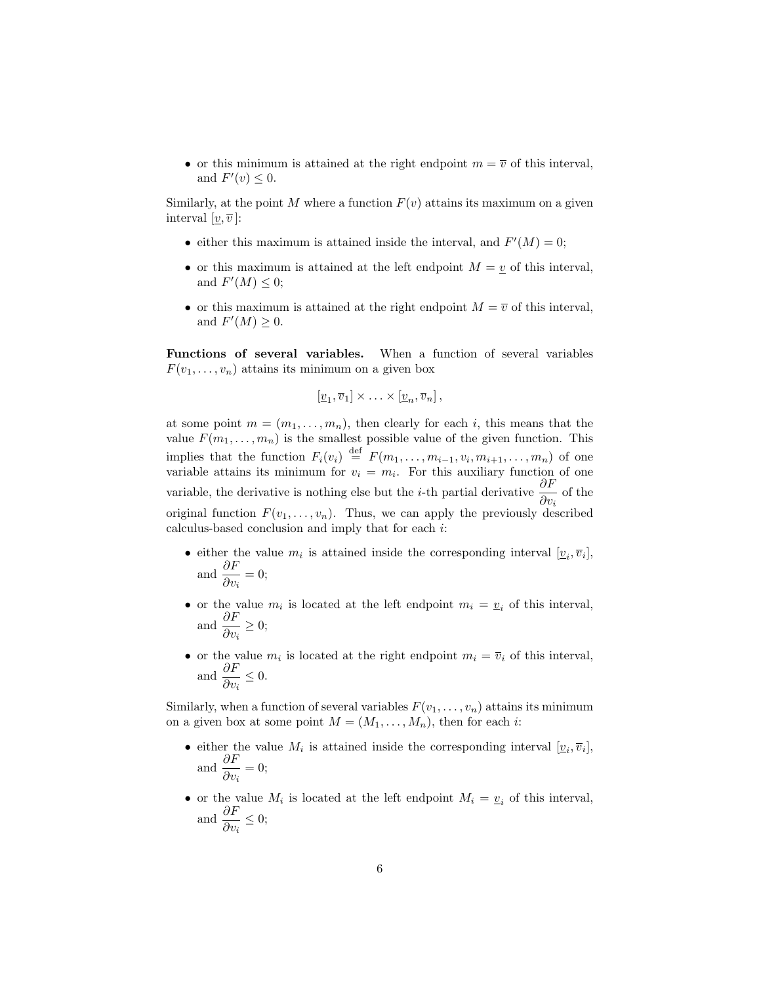• or this minimum is attained at the right endpoint  $m = \overline{v}$  of this interval, and  $F'(v) \leq 0$ .

Similarly, at the point M where a function  $F(v)$  attains its maximum on a given interval  $[\underline{v}, \overline{v}]$ :

- either this maximum is attained inside the interval, and  $F'(M) = 0$ ;
- or this maximum is attained at the left endpoint  $M = v$  of this interval, and  $F'(M) \leq 0;$
- or this maximum is attained at the right endpoint  $M = \overline{v}$  of this interval, and  $F'(M) \geq 0$ .

Functions of several variables. When a function of several variables  $F(v_1, \ldots, v_n)$  attains its minimum on a given box

$$
[\underline{v}_1,\overline{v}_1]\times\ldots\times[\underline{v}_n,\overline{v}_n],
$$

at some point  $m = (m_1, \ldots, m_n)$ , then clearly for each i, this means that the value  $F(m_1, \ldots, m_n)$  is the smallest possible value of the given function. This implies that the function  $F_i(v_i) \stackrel{\text{def}}{=} F(m_1, \ldots, m_{i-1}, v_i, m_{i+1}, \ldots, m_n)$  of one variable attains its minimum for  $v_i = m_i$ . For this auxiliary function of one variable, the derivative is nothing else but the *i*-th partial derivative  $\frac{\partial F}{\partial v_i}$  of the original function  $F(v_1, \ldots, v_n)$ . Thus, we can apply the previously described calculus-based conclusion and imply that for each i:

- either the value  $m_i$  is attained inside the corresponding interval  $[\underline{v}_i, \overline{v}_i]$ , and  $\frac{\partial F}{\partial v_i} = 0;$
- or the value  $m_i$  is located at the left endpoint  $m_i = v_i$  of this interval, and  $\frac{\partial F}{\partial v_i} \geq 0;$
- or the value  $m_i$  is located at the right endpoint  $m_i = \overline{v}_i$  of this interval, and  $\frac{\partial F}{\partial v_i} \leq 0$ .

Similarly, when a function of several variables  $F(v_1, \ldots, v_n)$  attains its minimum on a given box at some point  $M = (M_1, \ldots, M_n)$ , then for each *i*:

- either the value  $M_i$  is attained inside the corresponding interval  $[\underline{v}_i, \overline{v}_i]$ , and  $\frac{\partial F}{\partial v_i} = 0;$
- or the value  $M_i$  is located at the left endpoint  $M_i = \underline{v}_i$  of this interval, and  $\frac{\partial F}{\partial v_i} \leq 0;$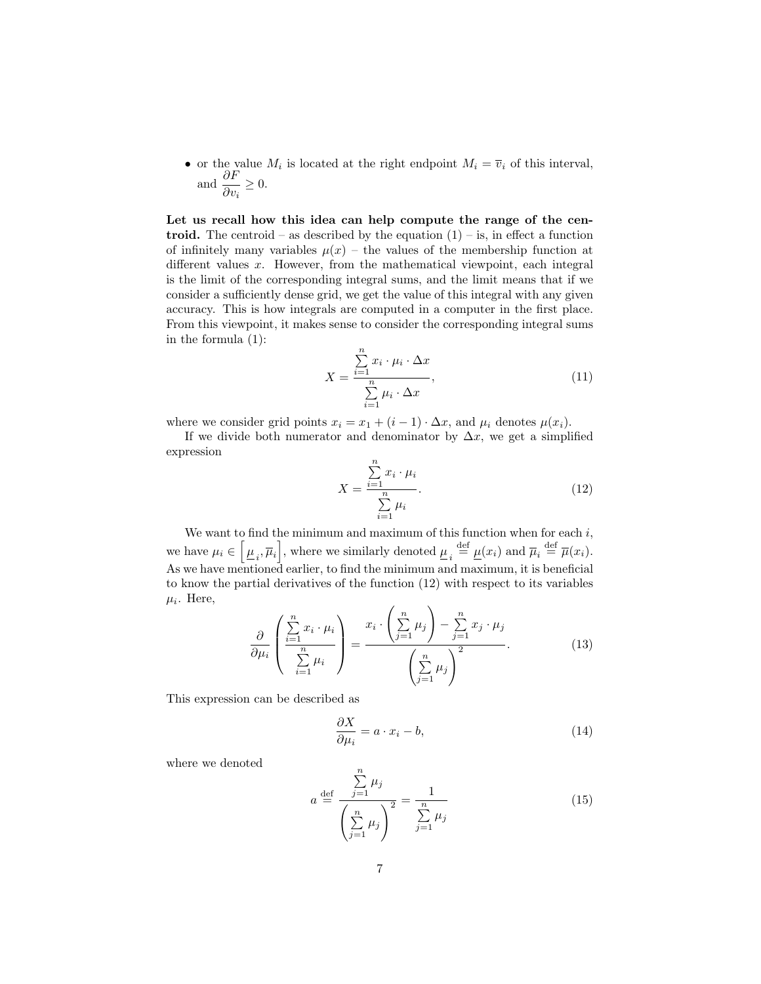• or the value  $M_i$  is located at the right endpoint  $M_i = \overline{v}_i$  of this interval, and  $\frac{\partial F}{\partial v_i} \geq 0$ .

Let us recall how this idea can help compute the range of the centroid. The centroid – as described by the equation  $(1)$  – is, in effect a function of infinitely many variables  $\mu(x)$  – the values of the membership function at different values x. However, from the mathematical viewpoint, each integral is the limit of the corresponding integral sums, and the limit means that if we consider a sufficiently dense grid, we get the value of this integral with any given accuracy. This is how integrals are computed in a computer in the first place. From this viewpoint, it makes sense to consider the corresponding integral sums in the formula (1):

$$
X = \frac{\sum_{i=1}^{n} x_i \cdot \mu_i \cdot \Delta x}{\sum_{i=1}^{n} \mu_i \cdot \Delta x},
$$
\n(11)

where we consider grid points  $x_i = x_1 + (i - 1) \cdot \Delta x$ , and  $\mu_i$  denotes  $\mu(x_i)$ .

If we divide both numerator and denominator by  $\Delta x$ , we get a simplified expression

$$
X = \frac{\sum_{i=1}^{n} x_i \cdot \mu_i}{\sum_{i=1}^{n} \mu_i}.
$$
\n(12)

We want to find the minimum and maximum of this function when for each  $i$ , we have  $\mu_i \in \left[\underline{\mu}_i, \overline{\mu}_i\right]$ , where we similarly denoted  $\underline{\mu}_i \stackrel{\text{def}}{=} \underline{\mu}(x_i)$  and  $\overline{\mu}_i \stackrel{\text{def}}{=} \overline{\mu}(x_i)$ . As we have mentioned earlier, to find the minimum and maximum, it is beneficial to know the partial derivatives of the function (12) with respect to its variables  $\mu_i$ . Here,  $\overline{1}$  $\lambda$ 

$$
\frac{\partial}{\partial \mu_i} \left( \frac{\sum_{i=1}^n x_i \cdot \mu_i}{\sum_{i=1}^n \mu_i} \right) = \frac{x_i \cdot \left( \sum_{j=1}^n \mu_j \right) - \sum_{j=1}^n x_j \cdot \mu_j}{\left( \sum_{j=1}^n \mu_j \right)^2}.
$$
(13)

This expression can be described as

$$
\frac{\partial X}{\partial \mu_i} = a \cdot x_i - b,\tag{14}
$$

where we denoted

$$
a \stackrel{\text{def}}{=} \frac{\sum_{j=1}^{n} \mu_j}{\left(\sum_{j=1}^{n} \mu_j\right)^2} = \frac{1}{\sum_{j=1}^{n} \mu_j} \tag{15}
$$

 $\overline{p}$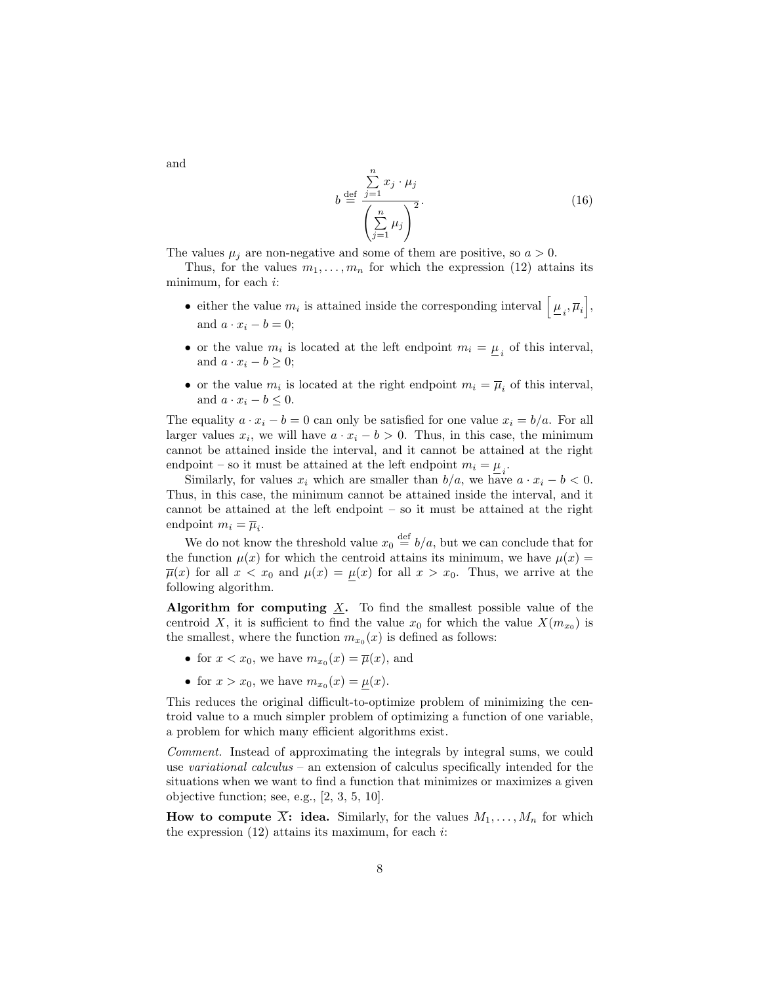$$
b \stackrel{\text{def}}{=} \frac{\sum_{j=1}^{n} x_j \cdot \mu_j}{\left(\sum_{j=1}^{n} \mu_j\right)^2}.
$$
 (16)

The values  $\mu_i$  are non-negative and some of them are positive, so  $a > 0$ .

Thus, for the values  $m_1, \ldots, m_n$  for which the expression (12) attains its minimum, for each  $i$ :

- either the value  $m_i$  is attained inside the corresponding interval  $\left[\mu_i, \overline{\mu}_i\right]$ , and  $a \cdot x_i - b = 0$ ;
- or the value  $m_i$  is located at the left endpoint  $m_i = \underline{\mu}_i$  of this interval, and  $a \cdot x_i - b \geq 0$ ;
- or the value  $m_i$  is located at the right endpoint  $m_i = \overline{\mu}_i$  of this interval, and  $a \cdot x_i - b \leq 0$ .

The equality  $a \cdot x_i - b = 0$  can only be satisfied for one value  $x_i = b/a$ . For all larger values  $x_i$ , we will have  $a \cdot x_i - b > 0$ . Thus, in this case, the minimum cannot be attained inside the interval, and it cannot be attained at the right endpoint – so it must be attained at the left endpoint  $m_i = \mu_i$ .

Similarly, for values  $x_i$  which are smaller than  $b/a$ , we have  $a \cdot x_i - b < 0$ . Thus, in this case, the minimum cannot be attained inside the interval, and it cannot be attained at the left endpoint – so it must be attained at the right endpoint  $m_i = \overline{\mu}_i$ .

We do not know the threshold value  $x_0 \stackrel{\text{def}}{=} b/a$ , but we can conclude that for the function  $\mu(x)$  for which the centroid attains its minimum, we have  $\mu(x)$  $\overline{\mu}(x)$  for all  $x < x_0$  and  $\mu(x) = \mu(x)$  for all  $x > x_0$ . Thus, we arrive at the following algorithm.

Algorithm for computing  $\underline{X}$ . To find the smallest possible value of the centroid X, it is sufficient to find the value  $x_0$  for which the value  $X(m_{x_0})$  is the smallest, where the function  $m_{x_0}(x)$  is defined as follows:

- for  $x < x_0$ , we have  $m_{x_0}(x) = \overline{\mu}(x)$ , and
- for  $x > x_0$ , we have  $m_{x_0}(x) = \underline{\mu}(x)$ .

This reduces the original difficult-to-optimize problem of minimizing the centroid value to a much simpler problem of optimizing a function of one variable, a problem for which many efficient algorithms exist.

Comment. Instead of approximating the integrals by integral sums, we could use variational calculus – an extension of calculus specifically intended for the situations when we want to find a function that minimizes or maximizes a given objective function; see, e.g., [2, 3, 5, 10].

**How to compute**  $\overline{X}$ **: idea.** Similarly, for the values  $M_1, \ldots, M_n$  for which the expression  $(12)$  attains its maximum, for each *i*:

and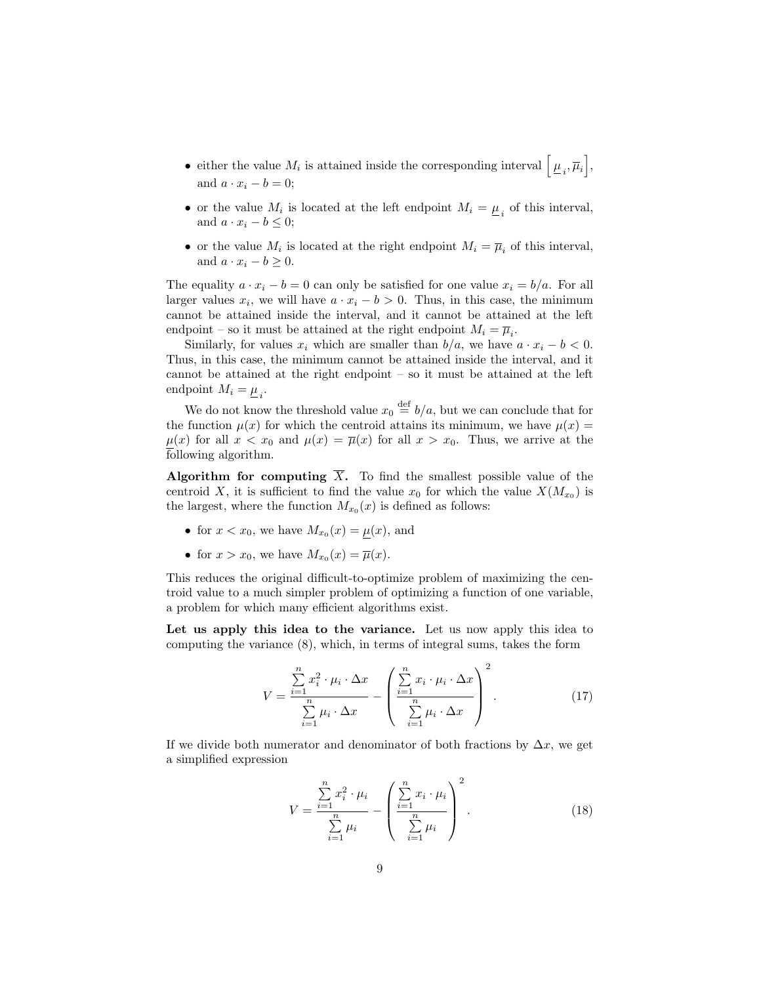- either the value  $M_i$  is attained inside the corresponding interval  $\left[\mu_i, \overline{\mu}_i\right]$ , and  $a \cdot x_i - b = 0$ ;
- or the value  $M_i$  is located at the left endpoint  $M_i = \underline{\mu}_i$  of this interval, and  $a \cdot x_i - b \leq 0$ ;
- or the value  $M_i$  is located at the right endpoint  $M_i = \overline{\mu}_i$  of this interval, and  $a \cdot x_i - b \geq 0$ .

The equality  $a \cdot x_i - b = 0$  can only be satisfied for one value  $x_i = b/a$ . For all larger values  $x_i$ , we will have  $a \cdot x_i - b > 0$ . Thus, in this case, the minimum cannot be attained inside the interval, and it cannot be attained at the left endpoint – so it must be attained at the right endpoint  $M_i = \overline{\mu}_i$ .

Similarly, for values  $x_i$  which are smaller than  $b/a$ , we have  $a \cdot x_i - b < 0$ . Thus, in this case, the minimum cannot be attained inside the interval, and it cannot be attained at the right endpoint – so it must be attained at the left endpoint  $M_i = \underline{\mu}_i$ .

We do not know the threshold value  $x_0 \stackrel{\text{def}}{=} b/a$ , but we can conclude that for the function  $\mu(x)$  for which the centroid attains its minimum, we have  $\mu(x)$  =  $\mu(x)$  for all  $x < x_0$  and  $\mu(x) = \overline{\mu}(x)$  for all  $x > x_0$ . Thus, we arrive at the following algorithm.

Algorithm for computing  $\overline{X}$ . To find the smallest possible value of the centroid X, it is sufficient to find the value  $x_0$  for which the value  $X(M_{x_0})$  is the largest, where the function  $M_{x_0}(x)$  is defined as follows:

- for  $x < x_0$ , we have  $M_{x_0}(x) = \mu(x)$ , and
- for  $x > x_0$ , we have  $M_{x_0}(x) = \overline{\mu}(x)$ .

This reduces the original difficult-to-optimize problem of maximizing the centroid value to a much simpler problem of optimizing a function of one variable, a problem for which many efficient algorithms exist.

Let us apply this idea to the variance. Let us now apply this idea to computing the variance (8), which, in terms of integral sums, takes the form

$$
V = \frac{\sum\limits_{i=1}^{n} x_i^2 \cdot \mu_i \cdot \Delta x}{\sum\limits_{i=1}^{n} \mu_i \cdot \Delta x} - \left(\frac{\sum\limits_{i=1}^{n} x_i \cdot \mu_i \cdot \Delta x}{\sum\limits_{i=1}^{n} \mu_i \cdot \Delta x}\right)^2.
$$
 (17)

If we divide both numerator and denominator of both fractions by  $\Delta x$ , we get a simplified expression

$$
V = \frac{\sum_{i=1}^{n} x_i^2 \cdot \mu_i}{\sum_{i=1}^{n} \mu_i} - \left(\frac{\sum_{i=1}^{n} x_i \cdot \mu_i}{\sum_{i=1}^{n} \mu_i}\right)^2.
$$
 (18)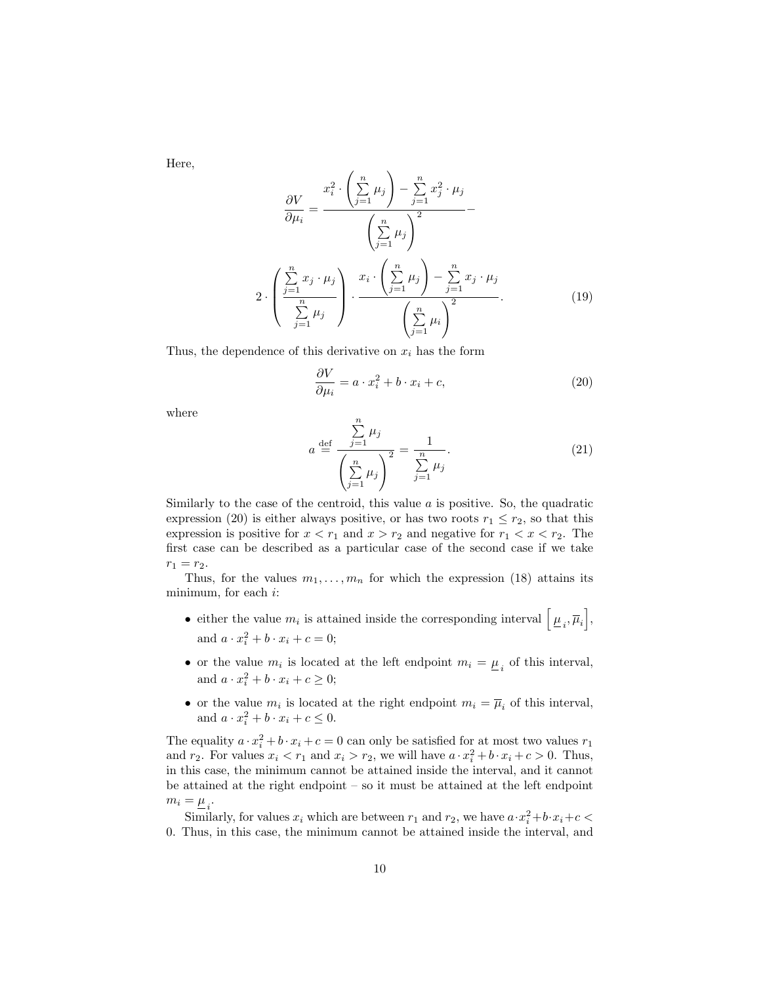Here,

$$
\frac{\partial V}{\partial \mu_i} = \frac{x_i^2 \cdot \left(\sum_{j=1}^n \mu_j\right) - \sum_{j=1}^n x_j^2 \cdot \mu_j}{\left(\sum_{j=1}^n \mu_j\right)^2} - \frac{\left(\sum_{j=1}^n \mu_j\right)^2}{\left(\sum_{j=1}^n \mu_j\right)^2}
$$
\n
$$
2 \cdot \left(\frac{\sum_{j=1}^n x_j \cdot \mu_j}{\sum_{j=1}^n \mu_j}\right) \cdot \frac{x_i \cdot \left(\sum_{j=1}^n \mu_j\right) - \sum_{j=1}^n x_j \cdot \mu_j}{\left(\sum_{j=1}^n \mu_i\right)^2}.
$$
\n(19)

Thus, the dependence of this derivative on  $x_i$  has the form

$$
\frac{\partial V}{\partial \mu_i} = a \cdot x_i^2 + b \cdot x_i + c,\tag{20}
$$

where

$$
a \stackrel{\text{def}}{=} \frac{\sum_{j=1}^{n} \mu_j}{\left(\sum_{j=1}^{n} \mu_j\right)^2} = \frac{1}{\sum_{j=1}^{n} \mu_j}.
$$
 (21)

Similarly to the case of the centroid, this value  $a$  is positive. So, the quadratic expression (20) is either always positive, or has two roots  $r_1 \leq r_2$ , so that this expression is positive for  $x < r_1$  and  $x > r_2$  and negative for  $r_1 < x < r_2$ . The first case can be described as a particular case of the second case if we take  $r_1 = r_2.$ 

Thus, for the values  $m_1, \ldots, m_n$  for which the expression (18) attains its minimum, for each i:

- either the value  $m_i$  is attained inside the corresponding interval  $\left[\mu_i, \overline{\mu}_i\right]$ , and  $a \cdot x_i^2 + b \cdot x_i + c = 0;$
- or the value  $m_i$  is located at the left endpoint  $m_i = \underline{\mu}_i$  of this interval, and  $a \cdot x_i^2 + b \cdot x_i + c \geq 0;$
- or the value  $m_i$  is located at the right endpoint  $m_i = \overline{\mu}_i$  of this interval, and  $a \cdot x_i^2 + b \cdot x_i + c \leq 0$ .

The equality  $a \cdot x_i^2 + b \cdot x_i + c = 0$  can only be satisfied for at most two values  $r_1$ and  $r_2$ . For values  $x_i < r_1$  and  $x_i > r_2$ , we will have  $a \cdot x_i^2 + b \cdot x_i + c > 0$ . Thus, in this case, the minimum cannot be attained inside the interval, and it cannot be attained at the right endpoint – so it must be attained at the left endpoint  $m_i = \underline{\mu}_i$ .

Similarly, for values  $x_i$  which are between  $r_1$  and  $r_2$ , we have  $a \cdot x_i^2 + b \cdot x_i + c$ 0. Thus, in this case, the minimum cannot be attained inside the interval, and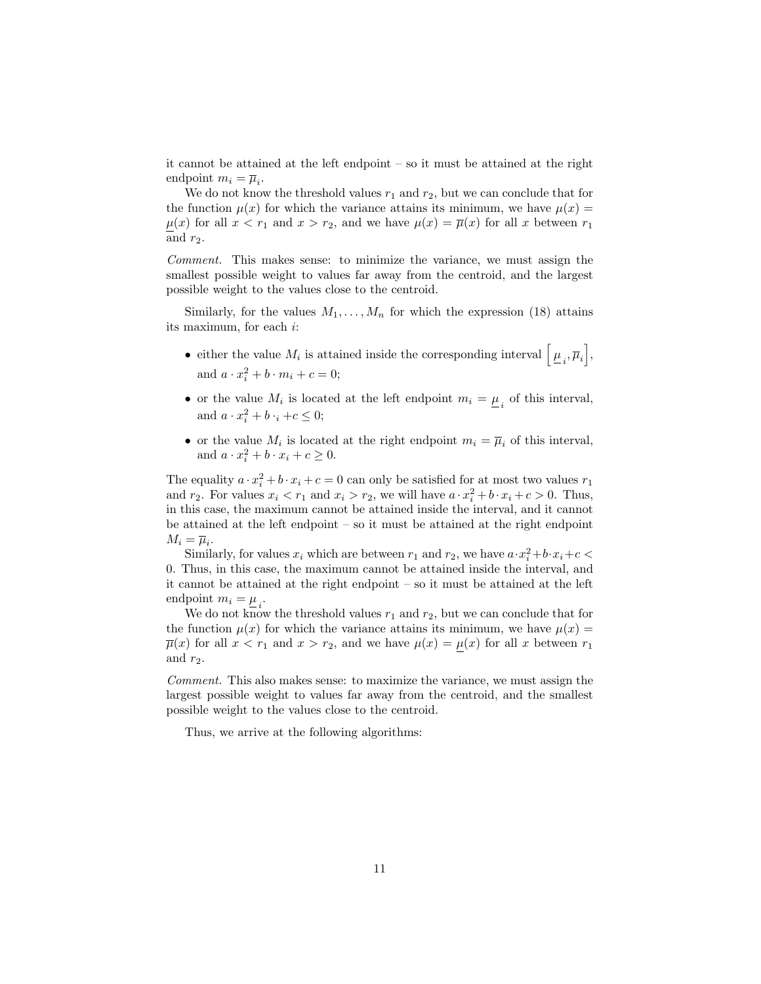it cannot be attained at the left endpoint – so it must be attained at the right endpoint  $m_i = \overline{\mu}_i$ .

We do not know the threshold values  $r_1$  and  $r_2$ , but we can conclude that for the function  $\mu(x)$  for which the variance attains its minimum, we have  $\mu(x)$  =  $\mu(x)$  for all  $x < r_1$  and  $x > r_2$ , and we have  $\mu(x) = \overline{\mu}(x)$  for all x between  $r_1$ and  $r_2$ .

Comment. This makes sense: to minimize the variance, we must assign the smallest possible weight to values far away from the centroid, and the largest possible weight to the values close to the centroid.

Similarly, for the values  $M_1, \ldots, M_n$  for which the expression (18) attains its maximum, for each i:

- either the value  $M_i$  is attained inside the corresponding interval  $\left[\mu_i, \overline{\mu}_i\right]$ , and  $a \cdot x_i^2 + b \cdot m_i + c = 0;$
- or the value  $M_i$  is located at the left endpoint  $m_i = \underline{\mu}_i$  of this interval, and  $a \cdot x_i^2 + b \cdot i + c \leq 0;$
- or the value  $M_i$  is located at the right endpoint  $m_i = \overline{\mu}_i$  of this interval, and  $a \cdot x_i^2 + b \cdot x_i + c \ge 0$ .

The equality  $a \cdot x_i^2 + b \cdot x_i + c = 0$  can only be satisfied for at most two values  $r_1$ and  $r_2$ . For values  $x_i < r_1$  and  $x_i > r_2$ , we will have  $a \cdot x_i^2 + b \cdot x_i + c > 0$ . Thus, in this case, the maximum cannot be attained inside the interval, and it cannot be attained at the left endpoint – so it must be attained at the right endpoint  $M_i = \overline{\mu}_i.$ 

Similarly, for values  $x_i$  which are between  $r_1$  and  $r_2$ , we have  $a \cdot x_i^2 + b \cdot x_i + c$ 0. Thus, in this case, the maximum cannot be attained inside the interval, and it cannot be attained at the right endpoint – so it must be attained at the left endpoint  $m_i = \underline{\mu}_i$ .

We do not know the threshold values  $r_1$  and  $r_2$ , but we can conclude that for the function  $\mu(x)$  for which the variance attains its minimum, we have  $\mu(x)$  $\overline{\mu}(x)$  for all  $x < r_1$  and  $x > r_2$ , and we have  $\mu(x) = \mu(x)$  for all x between  $r_1$ and  $r_2$ .

Comment. This also makes sense: to maximize the variance, we must assign the largest possible weight to values far away from the centroid, and the smallest possible weight to the values close to the centroid.

Thus, we arrive at the following algorithms: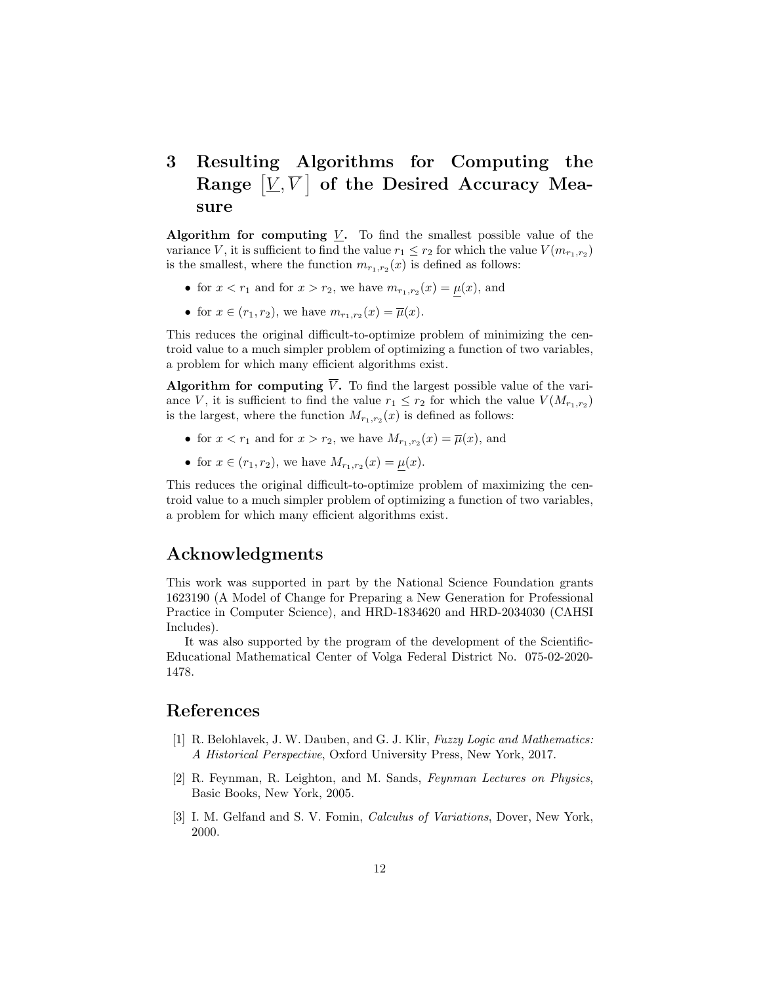## 3 Resulting Algorithms for Computing the Range  $[\underline{V},\overline{V}]$  of the Desired Accuracy Measure

Algorithm for computing  $\underline{V}$ . To find the smallest possible value of the variance V, it is sufficient to find the value  $r_1 \leq r_2$  for which the value  $V(m_{r_1,r_2})$ is the smallest, where the function  $m_{r_1,r_2}(x)$  is defined as follows:

- for  $x < r_1$  and for  $x > r_2$ , we have  $m_{r_1,r_2}(x) = \mu(x)$ , and
- for  $x \in (r_1, r_2)$ , we have  $m_{r_1, r_2}(x) = \overline{\mu}(x)$ .

This reduces the original difficult-to-optimize problem of minimizing the centroid value to a much simpler problem of optimizing a function of two variables, a problem for which many efficient algorithms exist.

Algorithm for computing  $\overline{V}$ . To find the largest possible value of the variance V, it is sufficient to find the value  $r_1 \leq r_2$  for which the value  $V(M_{r_1,r_2})$ is the largest, where the function  $M_{r_1,r_2}(x)$  is defined as follows:

- for  $x < r_1$  and for  $x > r_2$ , we have  $M_{r_1,r_2}(x) = \overline{\mu}(x)$ , and
- for  $x \in (r_1, r_2)$ , we have  $M_{r_1, r_2}(x) = \underline{\mu}(x)$ .

This reduces the original difficult-to-optimize problem of maximizing the centroid value to a much simpler problem of optimizing a function of two variables, a problem for which many efficient algorithms exist.

#### Acknowledgments

This work was supported in part by the National Science Foundation grants 1623190 (A Model of Change for Preparing a New Generation for Professional Practice in Computer Science), and HRD-1834620 and HRD-2034030 (CAHSI Includes).

It was also supported by the program of the development of the Scientific-Educational Mathematical Center of Volga Federal District No. 075-02-2020- 1478.

#### References

- [1] R. Belohlavek, J. W. Dauben, and G. J. Klir, Fuzzy Logic and Mathematics: A Historical Perspective, Oxford University Press, New York, 2017.
- [2] R. Feynman, R. Leighton, and M. Sands, Feynman Lectures on Physics, Basic Books, New York, 2005.
- [3] I. M. Gelfand and S. V. Fomin, *Calculus of Variations*, Dover, New York, 2000.